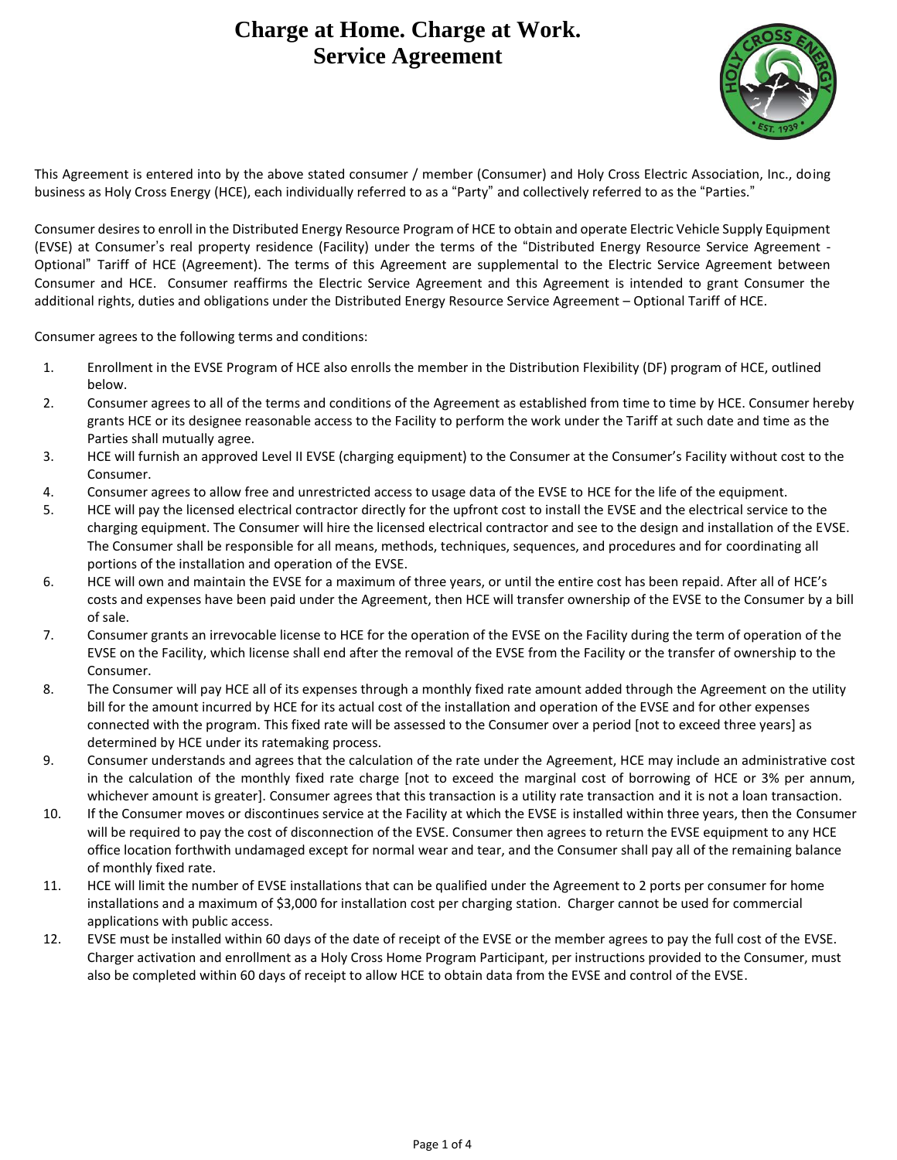## **Charge at Home. Charge at Work. Service Agreement**



This Agreement is entered into by the above stated consumer / member (Consumer) and Holy Cross Electric Association, Inc., doing business as Holy Cross Energy (HCE), each individually referred to as a "Party" and collectively referred to as the "Parties."

Consumer desires to enroll in the Distributed Energy Resource Program of HCE to obtain and operate Electric Vehicle Supply Equipment (EVSE) at Consumer's real property residence (Facility) under the terms of the "Distributed Energy Resource Service Agreement - Optional" Tariff of HCE (Agreement). The terms of this Agreement are supplemental to the Electric Service Agreement between Consumer and HCE. Consumer reaffirms the Electric Service Agreement and this Agreement is intended to grant Consumer the additional rights, duties and obligations under the Distributed Energy Resource Service Agreement – Optional Tariff of HCE.

Consumer agrees to the following terms and conditions:

- 1. Enrollment in the EVSE Program of HCE also enrolls the member in the Distribution Flexibility (DF) program of HCE, outlined below.
- 2. Consumer agrees to all of the terms and conditions of the Agreement as established from time to time by HCE. Consumer hereby grants HCE or its designee reasonable access to the Facility to perform the work under the Tariff at such date and time as the Parties shall mutually agree.
- 3. HCE will furnish an approved Level II EVSE (charging equipment) to the Consumer at the Consumer's Facility without cost to the Consumer.
- 4. Consumer agrees to allow free and unrestricted access to usage data of the EVSE to HCE for the life of the equipment.
- 5. HCE will pay the licensed electrical contractor directly for the upfront cost to install the EVSE and the electrical service to the charging equipment. The Consumer will hire the licensed electrical contractor and see to the design and installation of the EVSE. The Consumer shall be responsible for all means, methods, techniques, sequences, and procedures and for coordinating all portions of the installation and operation of the EVSE.
- 6. HCE will own and maintain the EVSE for a maximum of three years, or until the entire cost has been repaid. After all of HCE's costs and expenses have been paid under the Agreement, then HCE will transfer ownership of the EVSE to the Consumer by a bill of sale.
- 7. Consumer grants an irrevocable license to HCE for the operation of the EVSE on the Facility during the term of operation of the EVSE on the Facility, which license shall end after the removal of the EVSE from the Facility or the transfer of ownership to the Consumer.
- 8. The Consumer will pay HCE all of its expenses through a monthly fixed rate amount added through the Agreement on the utility bill for the amount incurred by HCE for its actual cost of the installation and operation of the EVSE and for other expenses connected with the program. This fixed rate will be assessed to the Consumer over a period [not to exceed three years] as determined by HCE under its ratemaking process.
- 9. Consumer understands and agrees that the calculation of the rate under the Agreement, HCE may include an administrative cost in the calculation of the monthly fixed rate charge [not to exceed the marginal cost of borrowing of HCE or 3% per annum, whichever amount is greater]. Consumer agrees that this transaction is a utility rate transaction and it is not a loan transaction.
- 10. If the Consumer moves or discontinues service at the Facility at which the EVSE is installed within three years, then the Consumer will be required to pay the cost of disconnection of the EVSE. Consumer then agrees to return the EVSE equipment to any HCE office location forthwith undamaged except for normal wear and tear, and the Consumer shall pay all of the remaining balance of monthly fixed rate.
- 11. HCE will limit the number of EVSE installations that can be qualified under the Agreement to 2 ports per consumer for home installations and a maximum of \$3,000 for installation cost per charging station. Charger cannot be used for commercial applications with public access.
- 12. EVSE must be installed within 60 days of the date of receipt of the EVSE or the member agrees to pay the full cost of the EVSE. Charger activation and enrollment as a Holy Cross Home Program Participant, per instructions provided to the Consumer, must also be completed within 60 days of receipt to allow HCE to obtain data from the EVSE and control of the EVSE.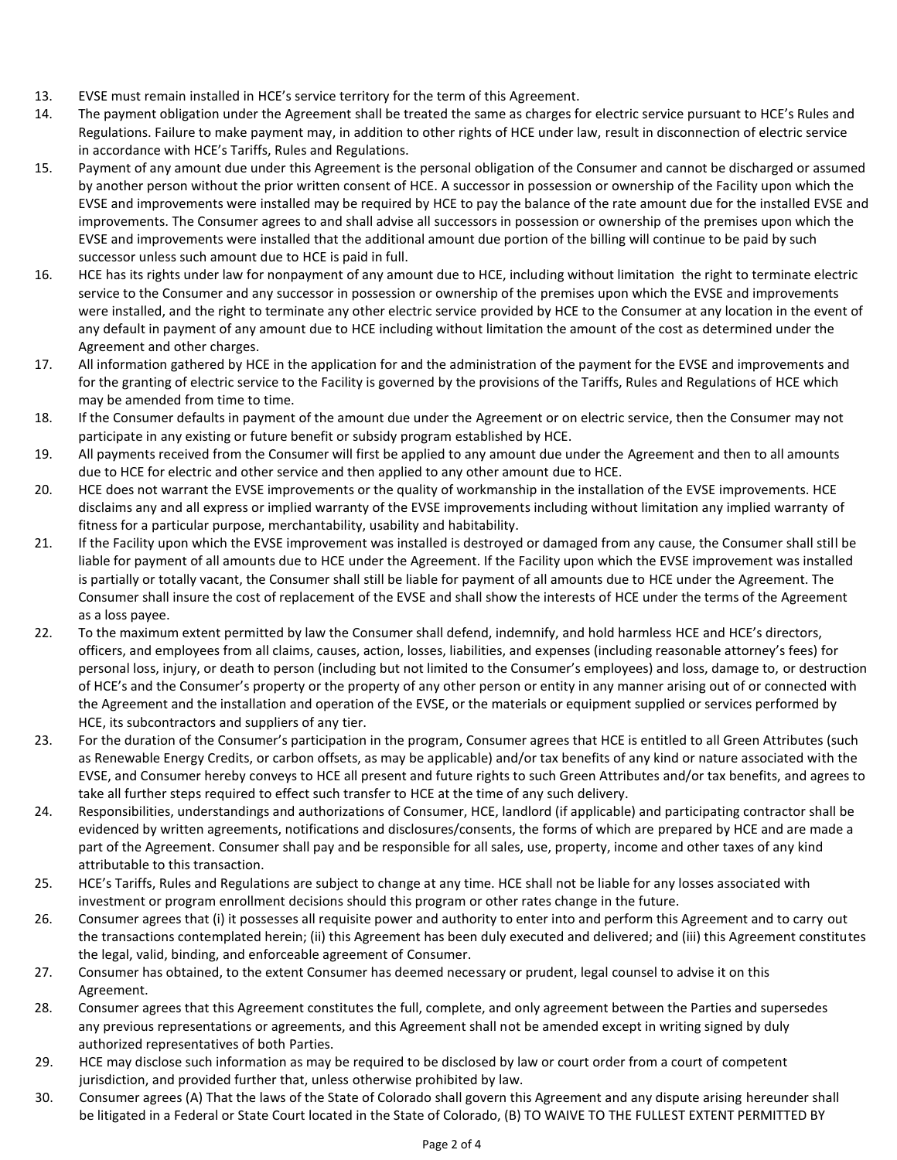- 13. EVSE must remain installed in HCE's service territory for the term of this Agreement.
- 14. The payment obligation under the Agreement shall be treated the same as charges for electric service pursuant to HCE's Rules and Regulations. Failure to make payment may, in addition to other rights of HCE under law, result in disconnection of electric service in accordance with HCE's Tariffs, Rules and Regulations.
- 15. Payment of any amount due under this Agreement is the personal obligation of the Consumer and cannot be discharged or assumed by another person without the prior written consent of HCE. A successor in possession or ownership of the Facility upon which the EVSE and improvements were installed may be required by HCE to pay the balance of the rate amount due for the installed EVSE and improvements. The Consumer agrees to and shall advise all successors in possession or ownership of the premises upon which the EVSE and improvements were installed that the additional amount due portion of the billing will continue to be paid by such successor unless such amount due to HCE is paid in full.
- 16. HCE has its rights under law for nonpayment of any amount due to HCE, including without limitation the right to terminate electric service to the Consumer and any successor in possession or ownership of the premises upon which the EVSE and improvements were installed, and the right to terminate any other electric service provided by HCE to the Consumer at any location in the event of any default in payment of any amount due to HCE including without limitation the amount of the cost as determined under the Agreement and other charges.
- 17. All information gathered by HCE in the application for and the administration of the payment for the EVSE and improvements and for the granting of electric service to the Facility is governed by the provisions of the Tariffs, Rules and Regulations of HCE which may be amended from time to time.
- 18. If the Consumer defaults in payment of the amount due under the Agreement or on electric service, then the Consumer may not participate in any existing or future benefit or subsidy program established by HCE.
- 19. All payments received from the Consumer will first be applied to any amount due under the Agreement and then to all amounts due to HCE for electric and other service and then applied to any other amount due to HCE.
- 20. HCE does not warrant the EVSE improvements or the quality of workmanship in the installation of the EVSE improvements. HCE disclaims any and all express or implied warranty of the EVSE improvements including without limitation any implied warranty of fitness for a particular purpose, merchantability, usability and habitability.
- 21. If the Facility upon which the EVSE improvement was installed is destroyed or damaged from any cause, the Consumer shall still be liable for payment of all amounts due to HCE under the Agreement. If the Facility upon which the EVSE improvement was installed is partially or totally vacant, the Consumer shall still be liable for payment of all amounts due to HCE under the Agreement. The Consumer shall insure the cost of replacement of the EVSE and shall show the interests of HCE under the terms of the Agreement as a loss payee.
- 22. To the maximum extent permitted by law the Consumer shall defend, indemnify, and hold harmless HCE and HCE's directors, officers, and employees from all claims, causes, action, losses, liabilities, and expenses (including reasonable attorney's fees) for personal loss, injury, or death to person (including but not limited to the Consumer's employees) and loss, damage to, or destruction of HCE's and the Consumer's property or the property of any other person or entity in any manner arising out of or connected with the Agreement and the installation and operation of the EVSE, or the materials or equipment supplied or services performed by HCE, its subcontractors and suppliers of any tier.
- 23. For the duration of the Consumer's participation in the program, Consumer agrees that HCE is entitled to all Green Attributes (such as Renewable Energy Credits, or carbon offsets, as may be applicable) and/or tax benefits of any kind or nature associated with the EVSE, and Consumer hereby conveys to HCE all present and future rights to such Green Attributes and/or tax benefits, and agrees to take all further steps required to effect such transfer to HCE at the time of any such delivery.
- 24. Responsibilities, understandings and authorizations of Consumer, HCE, landlord (if applicable) and participating contractor shall be evidenced by written agreements, notifications and disclosures/consents, the forms of which are prepared by HCE and are made a part of the Agreement. Consumer shall pay and be responsible for all sales, use, property, income and other taxes of any kind attributable to this transaction.
- 25. HCE's Tariffs, Rules and Regulations are subject to change at any time. HCE shall not be liable for any losses associated with investment or program enrollment decisions should this program or other rates change in the future.
- 26. Consumer agrees that (i) it possesses all requisite power and authority to enter into and perform this Agreement and to carry out the transactions contemplated herein; (ii) this Agreement has been duly executed and delivered; and (iii) this Agreement constitutes the legal, valid, binding, and enforceable agreement of Consumer.
- 27. Consumer has obtained, to the extent Consumer has deemed necessary or prudent, legal counsel to advise it on this Agreement.
- 28. Consumer agrees that this Agreement constitutes the full, complete, and only agreement between the Parties and supersedes any previous representations or agreements, and this Agreement shall not be amended except in writing signed by duly authorized representatives of both Parties.
- 29. HCE may disclose such information as may be required to be disclosed by law or court order from a court of competent jurisdiction, and provided further that, unless otherwise prohibited by law.
- 30. Consumer agrees (A) That the laws of the State of Colorado shall govern this Agreement and any dispute arising hereunder shall be litigated in a Federal or State Court located in the State of Colorado, (B) TO WAIVE TO THE FULLEST EXTENT PERMITTED BY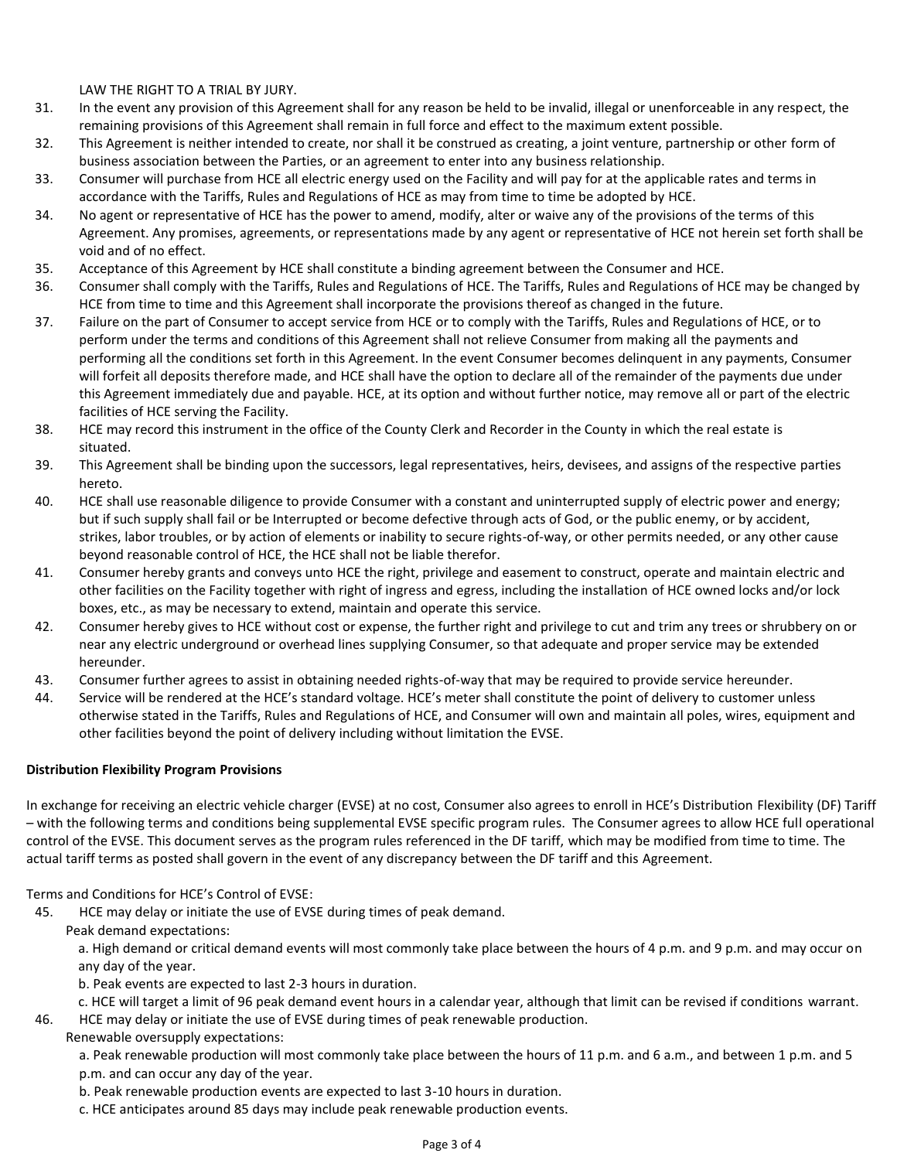LAW THE RIGHT TO A TRIAL BY JURY.

- 31. In the event any provision of this Agreement shall for any reason be held to be invalid, illegal or unenforceable in any respect, the remaining provisions of this Agreement shall remain in full force and effect to the maximum extent possible.
- 32. This Agreement is neither intended to create, nor shall it be construed as creating, a joint venture, partnership or other form of business association between the Parties, or an agreement to enter into any business relationship.
- 33. Consumer will purchase from HCE all electric energy used on the Facility and will pay for at the applicable rates and terms in accordance with the Tariffs, Rules and Regulations of HCE as may from time to time be adopted by HCE.
- 34. No agent or representative of HCE has the power to amend, modify, alter or waive any of the provisions of the terms of this Agreement. Any promises, agreements, or representations made by any agent or representative of HCE not herein set forth shall be void and of no effect.
- 35. Acceptance of this Agreement by HCE shall constitute a binding agreement between the Consumer and HCE.
- 36. Consumer shall comply with the Tariffs, Rules and Regulations of HCE. The Tariffs, Rules and Regulations of HCE may be changed by HCE from time to time and this Agreement shall incorporate the provisions thereof as changed in the future.
- 37. Failure on the part of Consumer to accept service from HCE or to comply with the Tariffs, Rules and Regulations of HCE, or to perform under the terms and conditions of this Agreement shall not relieve Consumer from making all the payments and performing all the conditions set forth in this Agreement. In the event Consumer becomes delinquent in any payments, Consumer will forfeit all deposits therefore made, and HCE shall have the option to declare all of the remainder of the payments due under this Agreement immediately due and payable. HCE, at its option and without further notice, may remove all or part of the electric facilities of HCE serving the Facility.
- 38. HCE may record this instrument in the office of the County Clerk and Recorder in the County in which the real estate is situated.
- 39. This Agreement shall be binding upon the successors, legal representatives, heirs, devisees, and assigns of the respective parties hereto.
- 40. HCE shall use reasonable diligence to provide Consumer with a constant and uninterrupted supply of electric power and energy; but if such supply shall fail or be Interrupted or become defective through acts of God, or the public enemy, or by accident, strikes, labor troubles, or by action of elements or inability to secure rights-of-way, or other permits needed, or any other cause beyond reasonable control of HCE, the HCE shall not be liable therefor.
- 41. Consumer hereby grants and conveys unto HCE the right, privilege and easement to construct, operate and maintain electric and other facilities on the Facility together with right of ingress and egress, including the installation of HCE owned locks and/or lock boxes, etc., as may be necessary to extend, maintain and operate this service.
- 42. Consumer hereby gives to HCE without cost or expense, the further right and privilege to cut and trim any trees or shrubbery on or near any electric underground or overhead lines supplying Consumer, so that adequate and proper service may be extended hereunder.
- 43. Consumer further agrees to assist in obtaining needed rights-of-way that may be required to provide service hereunder.
- 44. Service will be rendered at the HCE's standard voltage. HCE's meter shall constitute the point of delivery to customer unless otherwise stated in the Tariffs, Rules and Regulations of HCE, and Consumer will own and maintain all poles, wires, equipment and other facilities beyond the point of delivery including without limitation the EVSE.

## **Distribution Flexibility Program Provisions**

In exchange for receiving an electric vehicle charger (EVSE) at no cost, Consumer also agrees to enroll in HCE's Distribution Flexibility (DF) Tariff – with the following terms and conditions being supplemental EVSE specific program rules. The Consumer agrees to allow HCE full operational control of the EVSE. This document serves as the program rules referenced in the DF tariff, which may be modified from time to time. The actual tariff terms as posted shall govern in the event of any discrepancy between the DF tariff and this Agreement.

Terms and Conditions for HCE's Control of EVSE:

45. HCE may delay or initiate the use of EVSE during times of peak demand.

Peak demand expectations:

a. High demand or critical demand events will most commonly take place between the hours of 4 p.m. and 9 p.m. and may occur on any day of the year.

b. Peak events are expected to last 2-3 hours in duration.

- c. HCE will target a limit of 96 peak demand event hours in a calendar year, although that limit can be revised if conditions warrant.
- 46. HCE may delay or initiate the use of EVSE during times of peak renewable production.

Renewable oversupply expectations:

a. Peak renewable production will most commonly take place between the hours of 11 p.m. and 6 a.m., and between 1 p.m. and 5 p.m. and can occur any day of the year.

b. Peak renewable production events are expected to last 3-10 hours in duration.

c. HCE anticipates around 85 days may include peak renewable production events.